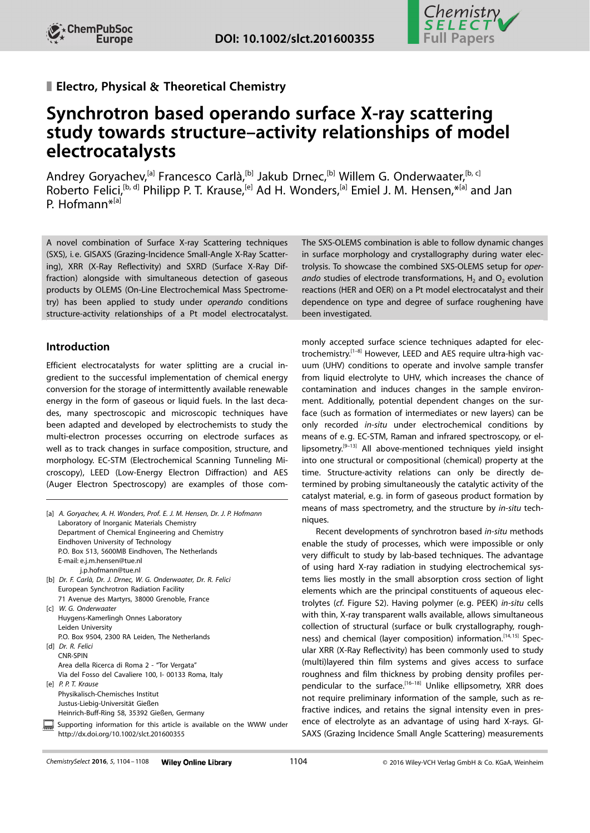

## Electro, Physical  $\&$  Theoretical Chemistry

# Synchrotron based operando surface X-ray scattering study towards structure–activity relationships of model electrocatalysts

Andrey Goryachev,<sup>[a]</sup> Francesco Carlà,<sup>[b]</sup> Jakub Drnec,<sup>[b]</sup> Willem G. Onderwaater,<sup>[b, c]</sup> Roberto Felici,<sup>[b, d]</sup> Philipp P. T. Krause,<sup>[e]</sup> Ad H. Wonders,<sup>[a]</sup> Emiel J. M. Hensen,<sup>\*[a]</sup> and Jan P. Hofmann $*^{[a]}$ 

A novel combination of Surface X-ray Scattering techniques (SXS), i. e. GISAXS (Grazing-Incidence Small-Angle X-Ray Scattering), XRR (X-Ray Reflectivity) and SXRD (Surface X-Ray Diffraction) alongside with simultaneous detection of gaseous products by OLEMS (On-Line Electrochemical Mass Spectrometry) has been applied to study under operando conditions structure-activity relationships of a Pt model electrocatalyst.

## Introduction

Efficient electrocatalysts for water splitting are a crucial ingredient to the successful implementation of chemical energy conversion for the storage of intermittently available renewable energy in the form of gaseous or liquid fuels. In the last decades, many spectroscopic and microscopic techniques have been adapted and developed by electrochemists to study the multi-electron processes occurring on electrode surfaces as well as to track changes in surface composition, structure, and morphology. EC-STM (Electrochemical Scanning Tunneling Microscopy), LEED (Low-Energy Electron Diffraction) and AES (Auger Electron Spectroscopy) are examples of those com-

|   | [a] A. Goryachev, A. H. Wonders, Prof. E. J. M. Hensen, Dr. J. P. Hofmann<br>Laboratory of Inorganic Materials Chemistry<br>Department of Chemical Engineering and Chemistry<br>Eindhoven University of Technology<br>P.O. Box 513, 5600MB Eindhoven, The Netherlands<br>E-mail: e.j.m.hensen@tue.nl |
|---|------------------------------------------------------------------------------------------------------------------------------------------------------------------------------------------------------------------------------------------------------------------------------------------------------|
|   | j.p.hofmann@tue.nl                                                                                                                                                                                                                                                                                   |
|   | [b] Dr. F. Carlà, Dr. J. Drnec, W. G. Onderwaater, Dr. R. Felici                                                                                                                                                                                                                                     |
|   | European Synchrotron Radiation Facility                                                                                                                                                                                                                                                              |
|   | 71 Avenue des Martyrs, 38000 Grenoble, France                                                                                                                                                                                                                                                        |
|   | [c] W. G. Onderwaater                                                                                                                                                                                                                                                                                |
|   | Huygens-Kamerlingh Onnes Laboratory                                                                                                                                                                                                                                                                  |
|   | Leiden University                                                                                                                                                                                                                                                                                    |
|   | P.O. Box 9504, 2300 RA Leiden, The Netherlands                                                                                                                                                                                                                                                       |
|   | [d] Dr. R. Felici                                                                                                                                                                                                                                                                                    |
|   | <b>CNR-SPIN</b>                                                                                                                                                                                                                                                                                      |
|   | Area della Ricerca di Roma 2 - "Tor Vergata"                                                                                                                                                                                                                                                         |
|   | Via del Fosso del Cavaliere 100, I-00133 Roma, Italy                                                                                                                                                                                                                                                 |
|   | [e] P. P. T. Krause                                                                                                                                                                                                                                                                                  |
|   | Physikalisch-Chemisches Institut                                                                                                                                                                                                                                                                     |
|   | Justus-Liebig-Universität Gießen                                                                                                                                                                                                                                                                     |
|   | Heinrich-Buff-Ring 58, 35392 Gießen, Germany                                                                                                                                                                                                                                                         |
| ▄ | Supporting information for this article is available on the WWW under<br>http://dx.doi.org/10.1002/slct.201600355                                                                                                                                                                                    |

The SXS-OLEMS combination is able to follow dynamic changes in surface morphology and crystallography during water electrolysis. To showcase the combined SXS-OLEMS setup for operando studies of electrode transformations,  $H_2$  and  $O_2$  evolution reactions (HER and OER) on a Pt model electrocatalyst and their dependence on type and degree of surface roughening have been investigated.

monly accepted surface science techniques adapted for electrochemistry.<sup>[1–8]</sup> However, LEED and AES require ultra-high vacuum (UHV) conditions to operate and involve sample transfer from liquid electrolyte to UHV, which increases the chance of contamination and induces changes in the sample environment. Additionally, potential dependent changes on the surface (such as formation of intermediates or new layers) can be only recorded in-situ under electrochemical conditions by means of e. g. EC-STM, Raman and infrared spectroscopy, or ellipsometry.[9–13] All above-mentioned techniques yield insight into one structural or compositional (chemical) property at the time. Structure-activity relations can only be directly determined by probing simultaneously the catalytic activity of the catalyst material, e. g. in form of gaseous product formation by means of mass spectrometry, and the structure by in-situ techniques.

Recent developments of synchrotron based in-situ methods enable the study of processes, which were impossible or only very difficult to study by lab-based techniques. The advantage of using hard X-ray radiation in studying electrochemical systems lies mostly in the small absorption cross section of light elements which are the principal constituents of aqueous electrolytes (cf. Figure S2). Having polymer (e. g. PEEK) in-situ cells with thin, X-ray transparent walls available, allows simultaneous collection of structural (surface or bulk crystallography, roughness) and chemical (layer composition) information.<sup>[14,15]</sup> Specular XRR (X-Ray Reflectivity) has been commonly used to study (multi)layered thin film systems and gives access to surface roughness and film thickness by probing density profiles perpendicular to the surface.<sup>[16-18]</sup> Unlike ellipsometry, XRR does not require preliminary information of the sample, such as refractive indices, and retains the signal intensity even in presence of electrolyte as an advantage of using hard X-rays. GI-SAXS (Grazing Incidence Small Angle Scattering) measurements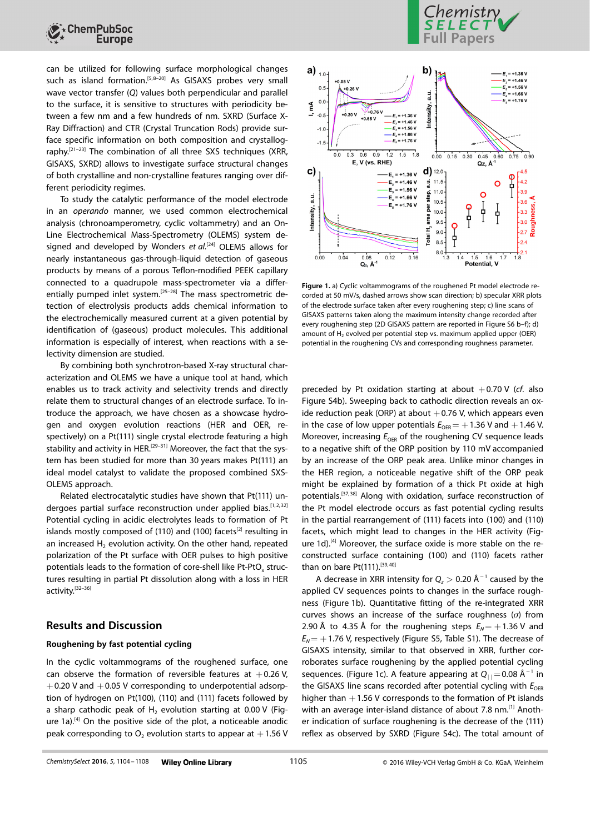can be utilized for following surface morphological changes such as island formation.<sup>[5,8-20]</sup> As GISAXS probes very small wave vector transfer (Q) values both perpendicular and parallel to the surface, it is sensitive to structures with periodicity between a few nm and a few hundreds of nm. SXRD (Surface X-Ray Diffraction) and CTR (Crystal Truncation Rods) provide surface specific information on both composition and crystallography.[21–23] The combination of all three SXS techniques (XRR, GISAXS, SXRD) allows to investigate surface structural changes of both crystalline and non-crystalline features ranging over different periodicity regimes.

To study the catalytic performance of the model electrode in an operando manner, we used common electrochemical analysis (chronoamperometry, cyclic voltammetry) and an On-Line Electrochemical Mass-Spectrometry (OLEMS) system designed and developed by Wonders et  $al.^{[24]}$  OLEMS allows for nearly instantaneous gas-through-liquid detection of gaseous products by means of a porous Teflon-modified PEEK capillary connected to a quadrupole mass-spectrometer via a differentially pumped inlet system.<sup>[25-28]</sup> The mass spectrometric detection of electrolysis products adds chemical information to the electrochemically measured current at a given potential by identification of (gaseous) product molecules. This additional information is especially of interest, when reactions with a selectivity dimension are studied.

By combining both synchrotron-based X-ray structural characterization and OLEMS we have a unique tool at hand, which enables us to track activity and selectivity trends and directly relate them to structural changes of an electrode surface. To introduce the approach, we have chosen as a showcase hydrogen and oxygen evolution reactions (HER and OER, respectively) on a Pt(111) single crystal electrode featuring a high stability and activity in HER.<sup>[29–31]</sup> Moreover, the fact that the system has been studied for more than 30 years makes Pt(111) an ideal model catalyst to validate the proposed combined SXS-OLEMS approach.

Related electrocatalytic studies have shown that Pt(111) undergoes partial surface reconstruction under applied bias.  $[1, 2, 32]$ Potential cycling in acidic electrolytes leads to formation of Pt islands mostly composed of (110) and (100) facets<sup>[2]</sup> resulting in an increased  $H_2$  evolution activity. On the other hand, repeated polarization of the Pt surface with OER pulses to high positive potentials leads to the formation of core-shell like Pt-PtO<sub>x</sub> structures resulting in partial Pt dissolution along with a loss in HER activity.<sup>[32–36]</sup>

## Results and Discussion

#### Roughening by fast potential cycling

In the cyclic voltammograms of the roughened surface, one can observe the formation of reversible features at  $+0.26$  V,  $+0.20$  V and  $+0.05$  V corresponding to underpotential adsorption of hydrogen on Pt(100), (110) and (111) facets followed by a sharp cathodic peak of  $H<sub>2</sub>$  evolution starting at 0.00 V (Figure 1a).<sup>[4]</sup> On the positive side of the plot, a noticeable anodic peak corresponding to  $O_2$  evolution starts to appear at  $+1.56$  V





Figure 1. a) Cyclic voltammograms of the roughened Pt model electrode recorded at 50 mV/s, dashed arrows show scan direction; b) specular XRR plots of the electrode surface taken after every roughening step; c) line scans of GISAXS patterns taken along the maximum intensity change recorded after every roughening step (2D GISAXS pattern are reported in Figure S6 b–f); d) amount of  $H<sub>2</sub>$  evolved per potential step vs. maximum applied upper (OER) potential in the roughening CVs and corresponding roughness parameter.

preceded by Pt oxidation starting at about  $+0.70$  V (cf. also Figure S4b). Sweeping back to cathodic direction reveals an oxide reduction peak (ORP) at about  $+0.76$  V, which appears even in the case of low upper potentials  $E_{\text{OER}}= +1.36$  V and  $+1.46$  V. Moreover, increasing  $E_{OER}$  of the roughening CV sequence leads to a negative shift of the ORP position by 110 mV accompanied by an increase of the ORP peak area. Unlike minor changes in the HER region, a noticeable negative shift of the ORP peak might be explained by formation of a thick Pt oxide at high potentials.<sup>[37,38]</sup> Along with oxidation, surface reconstruction of the Pt model electrode occurs as fast potential cycling results in the partial rearrangement of (111) facets into (100) and (110) facets, which might lead to changes in the HER activity (Figure 1d).<sup>[4]</sup> Moreover, the surface oxide is more stable on the reconstructed surface containing (100) and (110) facets rather than on bare  $Pt(111).$ <sup>[39,40]</sup>

A decrease in XRR intensity for  $Q_z >$  0.20 Å $^{-1}$  caused by the applied CV sequences points to changes in the surface roughness (Figure 1b). Quantitative fitting of the re-integrated XRR curves shows an increase of the surface roughness  $(\sigma)$  from 2.90 Å to 4.35 Å for the roughening steps  $E_N$  = +1.36 V and  $E_N$  = +1.76 V, respectively (Figure S5, Table S1). The decrease of GISAXS intensity, similar to that observed in XRR, further corroborates surface roughening by the applied potential cycling sequences. (Figure 1c). A feature appearing at  $Q_{||}\!=\!0.08$  Å $^{-1}$  in the GISAXS line scans recorded after potential cycling with  $E_{\text{OER}}$ higher than  $+1.56$  V corresponds to the formation of Pt islands with an average inter-island distance of about 7.8 nm.<sup>[1]</sup> Another indication of surface roughening is the decrease of the (111) reflex as observed by SXRD (Figure S4c). The total amount of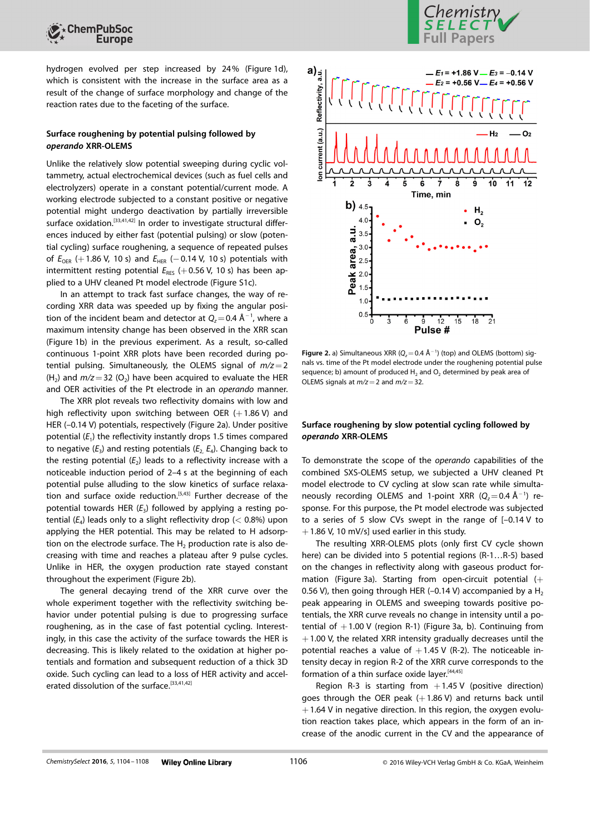hydrogen evolved per step increased by 24% (Figure 1d), which is consistent with the increase in the surface area as a result of the change of surface morphology and change of the reaction rates due to the faceting of the surface.

#### Surface roughening by potential pulsing followed by operando XRR-OLEMS

Unlike the relatively slow potential sweeping during cyclic voltammetry, actual electrochemical devices (such as fuel cells and electrolyzers) operate in a constant potential/current mode. A working electrode subjected to a constant positive or negative potential might undergo deactivation by partially irreversible surface oxidation.<sup>[33,41,42]</sup> In order to investigate structural differences induced by either fast (potential pulsing) or slow (potential cycling) surface roughening, a sequence of repeated pulses of  $E_{\text{OER}}$  (+1.86 V, 10 s) and  $E_{\text{HER}}$  (-0.14 V, 10 s) potentials with intermittent resting potential  $E_{RES}$  (+0.56 V, 10 s) has been applied to a UHV cleaned Pt model electrode (Figure S1c).

In an attempt to track fast surface changes, the way of recording XRR data was speeded up by fixing the angular position of the incident beam and detector at  $Q_z$  = 0.4 Å<sup>-1</sup>, where a maximum intensity change has been observed in the XRR scan (Figure 1b) in the previous experiment. As a result, so-called continuous 1-point XRR plots have been recorded during potential pulsing. Simultaneously, the OLEMS signal of  $m/z=2$  $(H<sub>2</sub>)$  and  $m/z = 32$  (O<sub>2</sub>) have been acquired to evaluate the HER and OER activities of the Pt electrode in an operando manner.

The XRR plot reveals two reflectivity domains with low and high reflectivity upon switching between OER  $(+1.86 V)$  and HER (–0.14 V) potentials, respectively (Figure 2a). Under positive potential  $(E_1)$  the reflectivity instantly drops 1.5 times compared to negative  $(E_3)$  and resting potentials  $(E_2, E_4)$ . Changing back to the resting potential  $(E_2)$  leads to a reflectivity increase with a noticeable induction period of 2–4 s at the beginning of each potential pulse alluding to the slow kinetics of surface relaxation and surface oxide reduction.<sup>[5,43]</sup> Further decrease of the potential towards HER  $(E_3)$  followed by applying a resting potential  $(E_4)$  leads only to a slight reflectivity drop ( $< 0.8\%$ ) upon applying the HER potential. This may be related to H adsorption on the electrode surface. The  $H_2$  production rate is also decreasing with time and reaches a plateau after 9 pulse cycles. Unlike in HER, the oxygen production rate stayed constant throughout the experiment (Figure 2b).

The general decaying trend of the XRR curve over the whole experiment together with the reflectivity switching behavior under potential pulsing is due to progressing surface roughening, as in the case of fast potential cycling. Interestingly, in this case the activity of the surface towards the HER is decreasing. This is likely related to the oxidation at higher potentials and formation and subsequent reduction of a thick 3D oxide. Such cycling can lead to a loss of HER activity and accelerated dissolution of the surface.<sup>[33,41,42]</sup>





**Figure 2.** a) Simultaneous XRR ( $Q_z = 0.4 \text{ Å}^{-1}$ ) (top) and OLEMS (bottom) signals vs. time of the Pt model electrode under the roughening potential pulse sequence; b) amount of produced  $H_2$  and  $O_2$  determined by peak area of OLEMS signals at  $m/z = 2$  and  $m/z = 32$ .

#### Surface roughening by slow potential cycling followed by operando XRR-OLEMS

To demonstrate the scope of the operando capabilities of the combined SXS-OLEMS setup, we subjected a UHV cleaned Pt model electrode to CV cycling at slow scan rate while simultaneously recording OLEMS and 1-point XRR ( $Q_z = 0.4$  Å<sup>-1</sup>) response. For this purpose, the Pt model electrode was subjected to a series of 5 slow CVs swept in the range of [–0.14 V to  $+1.86$  V, 10 mV/s] used earlier in this study.

The resulting XRR-OLEMS plots (only first CV cycle shown here) can be divided into 5 potential regions (R-1…R-5) based on the changes in reflectivity along with gaseous product formation (Figure 3a). Starting from open-circuit potential  $(+)$ 0.56 V), then going through HER (-0.14 V) accompanied by a  $H_2$ peak appearing in OLEMS and sweeping towards positive potentials, the XRR curve reveals no change in intensity until a potential of  $+1.00$  V (region R-1) (Figure 3a, b). Continuing from  $+1.00$  V, the related XRR intensity gradually decreases until the potential reaches a value of  $+1.45$  V (R-2). The noticeable intensity decay in region R-2 of the XRR curve corresponds to the formation of a thin surface oxide layer.<sup>[44,45]</sup>

Region R-3 is starting from  $+1.45$  V (positive direction) goes through the OER peak  $(+1.86 V)$  and returns back until  $+1.64$  V in negative direction. In this region, the oxygen evolution reaction takes place, which appears in the form of an increase of the anodic current in the CV and the appearance of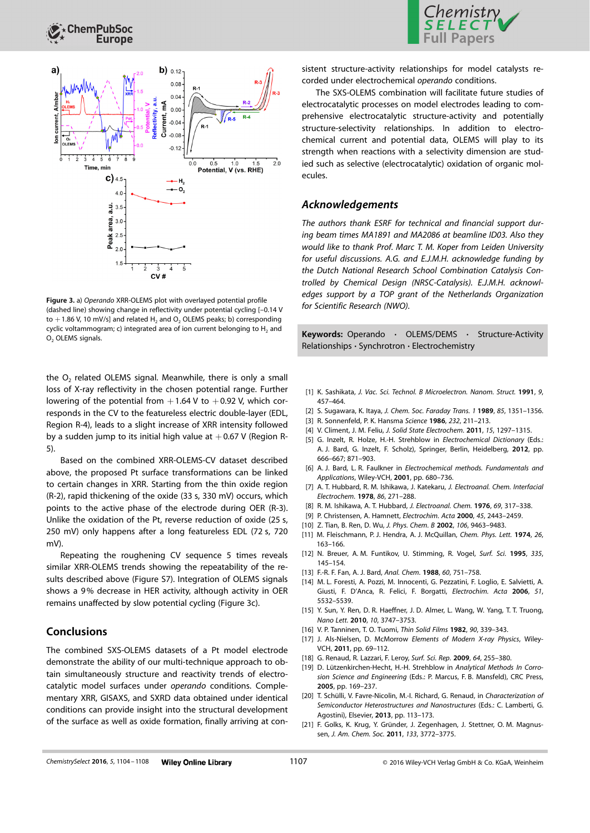



Figure 3. a) Operando XRR-OLEMS plot with overlayed potential profile (dashed line) showing change in reflectivity under potential cycling [–0.14 V to  $+1.86$  V, 10 mV/s] and related  $H_2$  and  $O_2$  OLEMS peaks; b) corresponding cyclic voltammogram; c) integrated area of ion current belonging to  $H_2$  and O<sub>2</sub> OLEMS signals.

the  $O<sub>2</sub>$  related OLEMS signal. Meanwhile, there is only a small loss of X-ray reflectivity in the chosen potential range. Further lowering of the potential from  $+1.64$  V to  $+0.92$  V, which corresponds in the CV to the featureless electric double-layer (EDL, Region R-4), leads to a slight increase of XRR intensity followed by a sudden jump to its initial high value at  $+0.67$  V (Region R-5).

Based on the combined XRR-OLEMS-CV dataset described above, the proposed Pt surface transformations can be linked to certain changes in XRR. Starting from the thin oxide region (R-2), rapid thickening of the oxide (33 s, 330 mV) occurs, which points to the active phase of the electrode during OER (R-3). Unlike the oxidation of the Pt, reverse reduction of oxide (25 s, 250 mV) only happens after a long featureless EDL (72 s, 720 mV).

Repeating the roughening CV sequence 5 times reveals similar XRR-OLEMS trends showing the repeatability of the results described above (Figure S7). Integration of OLEMS signals shows a 9% decrease in HER activity, although activity in OER remains unaffected by slow potential cycling (Figure 3c).

## Conclusions

The combined SXS-OLEMS datasets of a Pt model electrode demonstrate the ability of our multi-technique approach to obtain simultaneously structure and reactivity trends of electrocatalytic model surfaces under operando conditions. Complementary XRR, GISAXS, and SXRD data obtained under identical conditions can provide insight into the structural development of the surface as well as oxide formation, finally arriving at con-

sistent structure-activity relationships for model catalysts recorded under electrochemical operando conditions.

The SXS-OLEMS combination will facilitate future studies of electrocatalytic processes on model electrodes leading to comprehensive electrocatalytic structure-activity and potentially structure-selectivity relationships. In addition to electrochemical current and potential data, OLEMS will play to its strength when reactions with a selectivity dimension are studied such as selective (electrocatalytic) oxidation of organic molecules.

#### Acknowledgements

The authors thank ESRF for technical and financial support during beam times MA1891 and MA2086 at beamline ID03. Also they would like to thank Prof. Marc T. M. Koper from Leiden University for useful discussions. A.G. and E.J.M.H. acknowledge funding by the Dutch National Research School Combination Catalysis Controlled by Chemical Design (NRSC-Catalysis). E.J.M.H. acknowledges support by a TOP grant of the Netherlands Organization for Scientific Research (NWO).

Keywords: Operando · OLEMS/DEMS · Structure-Activity Relationships · Synchrotron · Electrochemistry

- [1] K. Sashikata, J. Vac. Sci. Technol. B Microelectron. Nanom. Struct. 1991, 9, 457–464.
- [2] S. Sugawara, K. Itaya, J. Chem. Soc. Faraday Trans. 1 1989, 85, 1351-1356.
- [3] R. Sonnenfeld, P. K. Hansma Science 1986, 232, 211–213.
- [4] V. Climent, J. M. Feliu, J. Solid State Electrochem. 2011, 15, 1297-1315.
- [5] G. Inzelt, R. Holze, H.-H. Strehblow in Electrochemical Dictionary (Eds.: A. J. Bard, G. Inzelt, F. Scholz), Springer, Berlin, Heidelberg, 2012, pp. 666–667; 871–903.
- [6] A. J. Bard, L. R. Faulkner in Electrochemical methods. Fundamentals and Applications, Wiley-VCH, 2001, pp. 680–736.
- [7] A. T. Hubbard, R. M. Ishikawa, J. Katekaru, J. Electroanal. Chem. Interfacial Electrochem. 1978, 86, 271–288.
- [8] R. M. Ishikawa, A. T. Hubbard, J. Electroanal. Chem. 1976, 69, 317–338.
- [9] P. Christensen, A. Hamnett, Electrochim. Acta 2000, 45, 2443-2459.
- [10] Z. Tian, B. Ren, D. Wu, J. Phys. Chem. B 2002, 106, 9463-9483.
- [11] M. Fleischmann, P. J. Hendra, A. J. McQuillan, Chem. Phys. Lett. 1974, 26, 163–166.
- [12] N. Breuer, A. M. Funtikov, U. Stimming, R. Vogel, Surf. Sci. 1995, 335, 145–154.
- [13] F.-R. F. Fan, A. J. Bard, Anal. Chem. 1988, 60, 751–758.
- [14] M. L. Foresti, A. Pozzi, M. Innocenti, G. Pezzatini, F. Loglio, E. Salvietti, A. Giusti, F. D'Anca, R. Felici, F. Borgatti, Electrochim. Acta 2006, 51, 5532–5539.
- [15] Y. Sun, Y. Ren, D. R. Haeffner, J. D. Almer, L. Wang, W. Yang, T. T. Truong, Nano Lett. 2010, 10, 3747–3753.
- [16] V. P. Tanninen, T. O. Tuomi, Thin Solid Films 1982, 90, 339–343.
- [17] J. Als-Nielsen, D. McMorrow Elements of Modern X-ray Physics, Wiley-VCH, 2011, pp. 69–112.
- [18] G. Renaud, R. Lazzari, F. Leroy, Surf. Sci. Rep. 2009, 64, 255–380.
- [19] D. Lützenkirchen-Hecht, H.-H. Strehblow in Analytical Methods In Corrosion Science and Engineering (Eds.: P. Marcus, F. B. Mansfeld), CRC Press, 2005, pp. 169–237.
- [20] T. Schülli, V. Favre-Nicolin, M.-I. Richard, G. Renaud, in Characterization of Semiconductor Heterostructures and Nanostructures (Eds.: C. Lamberti, G. Agostini), Elsevier, 2013, pp. 113–173.
- [21] F. Golks, K. Krug, Y. Gründer, J. Zegenhagen, J. Stettner, O. M. Magnussen, J. Am. Chem. Soc. 2011, 133, 3772-3775.